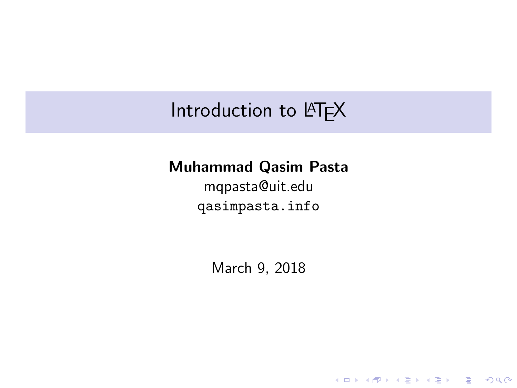### Introduction to LATEX

### Muhammad Qasim Pasta

mqpasta@uit.edu <qasimpasta.info>

March 9, 2018

KO K K Ø K K E K K E K V K K K K K K K K K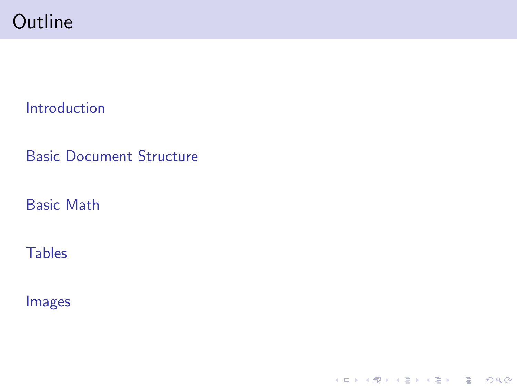### **Outline**

[Introduction](#page-2-0)

[Basic Document Structure](#page-3-0)

[Basic Math](#page-12-0)

**[Tables](#page-19-0)** 

[Images](#page-22-0)

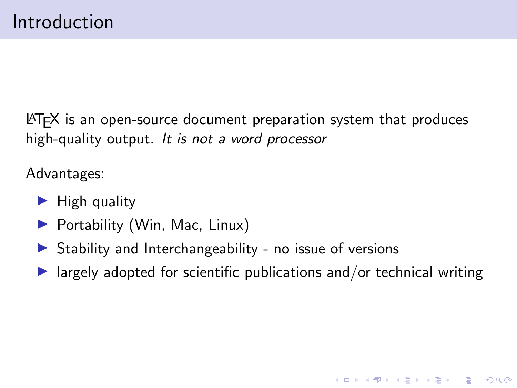<span id="page-2-0"></span>LATEX is an open-source document preparation system that produces high-quality output. It is not a word processor

Advantages:

- $\blacktriangleright$  High quality
- $\blacktriangleright$  Portability (Win, Mac, Linux)
- $\triangleright$  Stability and Interchangeability no issue of versions
- $\blacktriangleright$  largely adopted for scientific publications and/or technical writing

**KORKARYKERKER POLO**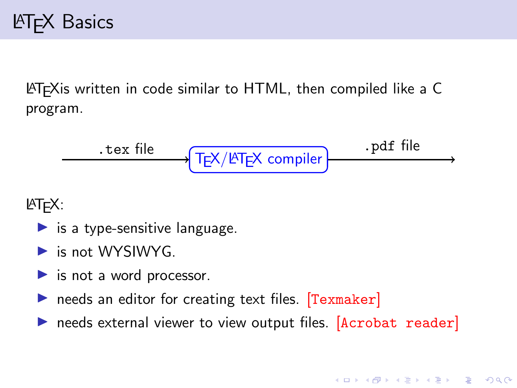<span id="page-3-0"></span>LATEXis written in code similar to HTML, then compiled like a C program.

TEX/LATEX compiler .tex file .pdf file

 $MT$  $EX:$ 

- $\blacktriangleright$  is a type-sensitive language.
- $\blacktriangleright$  is not WYSIWYG.
- $\blacktriangleright$  is not a word processor.
- $\triangleright$  needs an editor for creating text files. [Texmaker]
- $\triangleright$  needs external viewer to view output files. [Acrobat reader]

**KORK EXTERNE PROVIDE**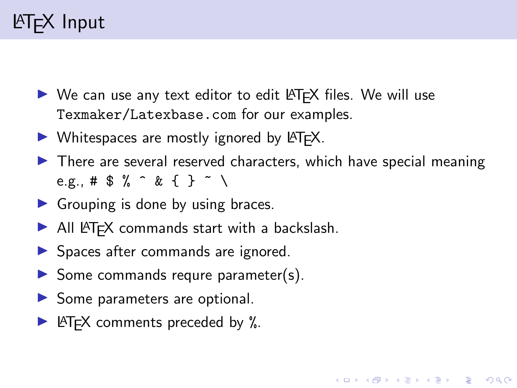## LATEX Input

- $\triangleright$  We can use any text editor to edit LATEX files. We will use Texmaker/Latexbase.com for our examples.
- $\triangleright$  Whitespaces are mostly ignored by  $\lfloor AT_F X \rfloor$ .
- $\blacktriangleright$  There are several reserved characters, which have special meaning e.g., #  $$ \%$  ^ & { } ~ \

**KORKARYKERKER POLO** 

- $\blacktriangleright$  Grouping is done by using braces.
- $\blacktriangleright$  All LAT<sub>E</sub>X commands start with a backslash.
- $\blacktriangleright$  Spaces after commands are ignored.
- $\triangleright$  Some commands requre parameter(s).
- $\blacktriangleright$  Some parameters are optional.
- $\blacktriangleright$  LAT<sub>E</sub>X comments preceded by %.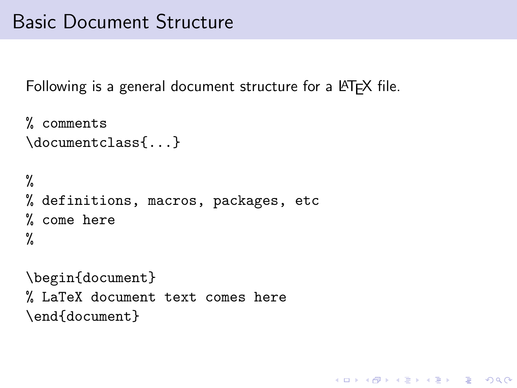### Basic Document Structure

Following is a general document structure for a LAT<sub>F</sub>X file.

**KORKARYKERKER POLO** 

```
% comments
\documentclass{...}
%
% definitions, macros, packages, etc
% come here
%
\begin{document}
% LaTeX document text comes here
\end{document}
```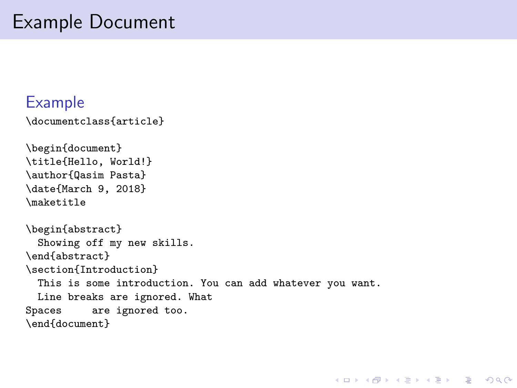### Example Document

### Example

```
\documentclass{article}
```

```
\begin{document}
\title{Hello, World!}
\author{Qasim Pasta}
\date{March 9, 2018}
\maketitle
\begin{abstract}
 Showing off my new skills.
\end{abstract}
\section{Introduction}
 This is some introduction. You can add whatever you want.
 Line breaks are ignored. What
Spaces are ignored too.
\end{document}
```
**KORK ERKER ADAM ADA**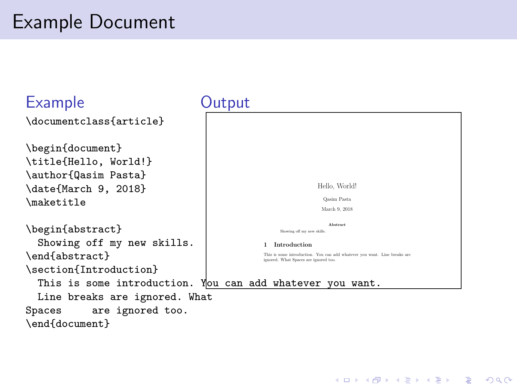## Example Document

#### Example \documentclass{article} \begin{document} \title{Hello, World!} \author{Qasim Pasta} \date{March 9, 2018} \maketitle \begin{abstract} Showing off my new skills. \end{abstract} \section{Introduction} This is some introduction. You can add whatever you want. Line breaks are ignored. What Spaces are ignored too. \end{document} **Output** Hello, World! Qasim Pasta March 9, 2018 Abstract Showing off my new skills. 1 Introduction This is some introduction. You can add whatever you want. Line breaks are ignored. What Spaces are ignored too.

**KORK EXTERNE PROVIDE**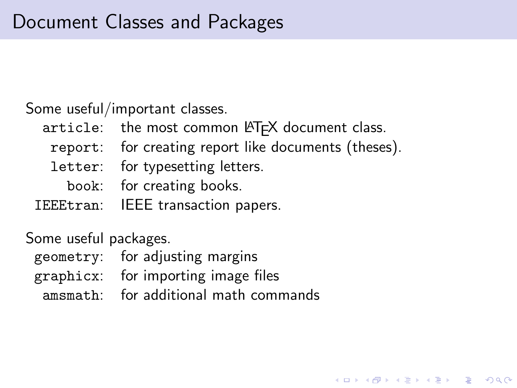Some useful/important classes.

- article: the most common LATEX document class.
	- report: for creating report like documents (theses).

**KORKA SERKER YOUR** 

- letter: for typesetting letters.
	- book: for creating books.
- IEEEtran: IEEE transaction papers.

Some useful packages.

- geometry: for adjusting margins
- graphicx: for importing image files
	- amsmath: for additional math commands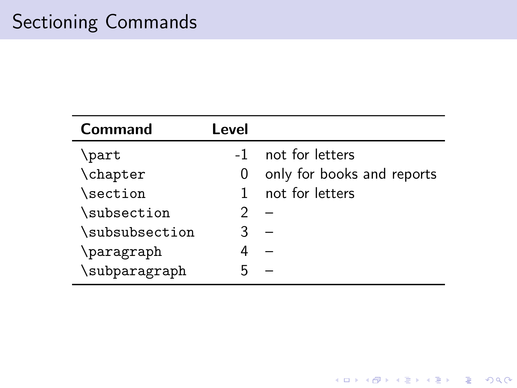| Command        | Level |                            |
|----------------|-------|----------------------------|
| \part          | $-1$  | not for letters            |
| \chapter       | O     | only for books and reports |
| \section       | 1     | not for letters            |
| \subsection    |       |                            |
| \subsubsection |       |                            |
| \paragraph     |       |                            |
| \subparagraph  |       |                            |

**Kロトメ部トメミトメミト ミニのRC**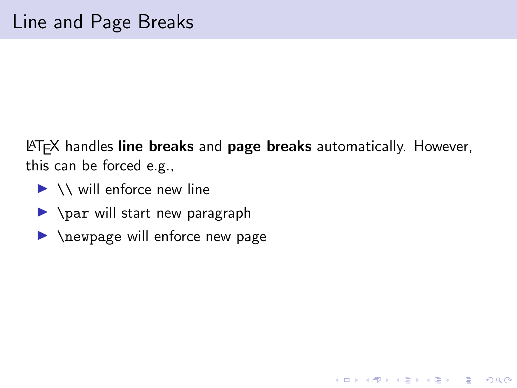<span id="page-10-0"></span> $\triangle T$ FX handles line breaks and page breaks automatically. However, this can be forced e.g.,

**KORK ERKER ADAM ADA** 

- $\blacktriangleright \setminus \setminus$  will enforce new line
- $\rightarrow$  \par will start new paragraph
- $\blacktriangleright$  \newpage will enforce new page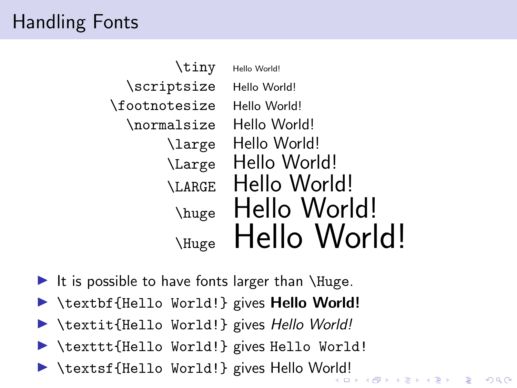## Handling Fonts

| \tiny         | Hello World! |
|---------------|--------------|
| \scriptsize   | Hello World! |
| \footnotesize | Hello World! |
| \normalsize   | Hello World! |
| \large        | Hello World! |
| \Large        | Hello World! |
| <b>LARGE</b>  | Hello World! |
| \huge         | Hello World! |
| \Huge         | Hello World! |

- It is possible to have fonts larger than  $\langle$ Huge.
- $\blacktriangleright$  \textbf{Hello World!} gives **Hello World!**
- ▶ \textit{Hello World!} gives Hello World!
- $\blacktriangleright$  \texttt{Hello World!} gives Hello World!
- **In textsf{Hello Wo[rld](#page-10-0)[!](#page-12-0)} gives Hello World!**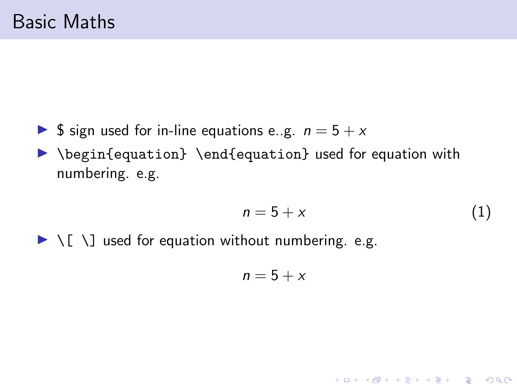- <span id="page-12-0"></span>**If**  $\oint$  sign used for in-line equations e.g.  $n = 5 + x$
- ▶ \begin{equation} \end{equation} used for equation with numbering. e.g.

$$
n = 5 + x \tag{1}
$$

K ロ ▶ K 個 ▶ K 할 ▶ K 할 ▶ 이 할 → 9 Q Q →

 $\blacktriangleright \setminus [ \setminus ]$  used for equation without numbering. e.g.

$$
n=5+x
$$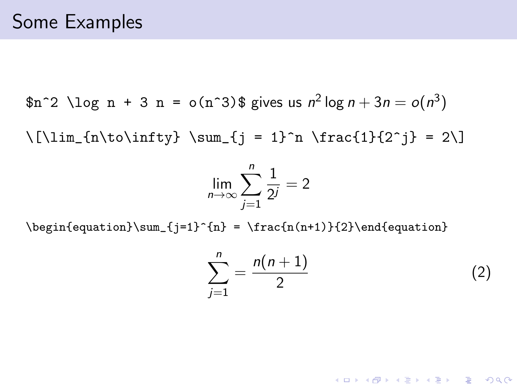$\text{\$n$^2 \log n + 3 n = o(n^3)\$ gives us $n^2 \log n + 3n = o(n^3)$}$ 

 $\[\lim_{n\to\infty}\ \sum_{j = 1}^n \frac{1}{2^j} = 2\]$ 

$$
\lim_{n \to \infty} \sum_{j=1}^{n} \frac{1}{2^j} = 2
$$

\begin{equation}\sum\_{j=1}^{n} = \frac{n(n+1)}{2}\end{equation}

$$
\sum_{j=1}^{n} = \frac{n(n+1)}{2}
$$
 (2)

**KORKARYKERKER POLO**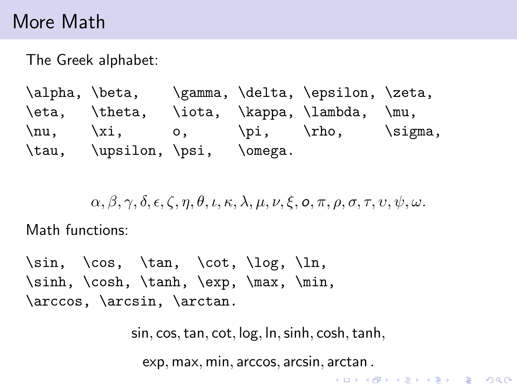### More Math

The Greek alphabet:

\alpha, \beta, \gamma, \delta, \epsilon, \zeta, \eta, \theta, \iota, \kappa, \lambda, \mu,  $\nu, \quad \xi, \quad o, \quad \phi, \quad \eta,$ \tau, \upsilon, \psi, \omega.

 $\alpha$ ,  $\beta$ ,  $\gamma$ ,  $\delta$ ,  $\epsilon$ ,  $\zeta$ ,  $n$ ,  $\theta$ ,  $\iota$ ,  $\kappa$ ,  $\lambda$ ,  $\mu$ ,  $\nu$ ,  $\xi$ ,  $\varphi$ ,  $\pi$ ,  $\rho$ ,  $\sigma$ ,  $\tau$ ,  $v$ ,  $\psi$ ,  $\omega$ .

Math functions:

 $\sin, \cos, \tan, \cot, \log, \ln,$ \sinh, \cosh, \tanh, \exp, \max, \min, \arccos, \arcsin, \arctan.

sin, cos,tan, cot, log, ln,sinh, cosh,tanh,

exp, max, min, arccos, arcsin, arctan .

**KORK ERKER ADAM ADA**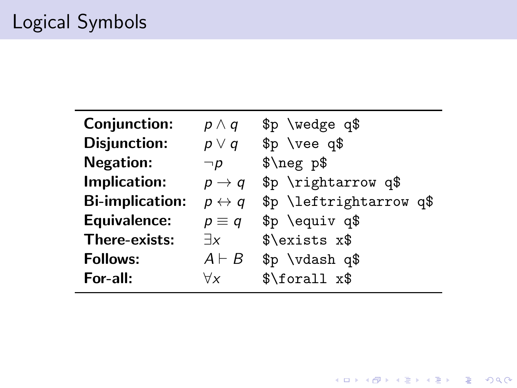| Conjunction:           | $p \wedge q$          | \$p \wedge q\$          |  |
|------------------------|-----------------------|-------------------------|--|
| <b>Disjunction:</b>    | $p \vee q$            | $$p$ \vee q\$           |  |
| <b>Negation:</b>       | $\neg p$              | $\omega$                |  |
| Implication:           | $p \rightarrow q$     | \$p \rightarrow q\$     |  |
| <b>Bi-implication:</b> | $p \leftrightarrow q$ | \$p \leftrightarrow q\$ |  |
| <b>Equivalence:</b>    | $p \equiv q$          | \$p \equiv q\$          |  |
| There-exists:          | $\exists x$           | \$\exists x\$           |  |
| <b>Follows:</b>        | $A \vdash B$          | \$p \vdash q\$          |  |
| For-all:               | ∀x                    | \$\forall x\$           |  |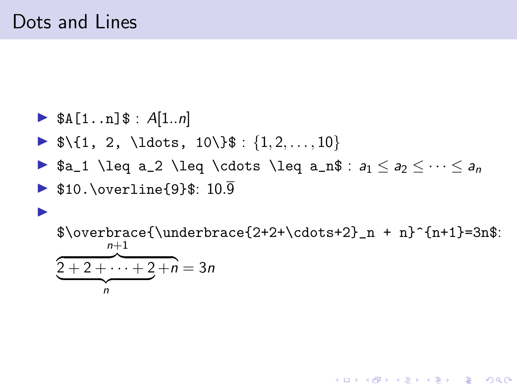$\blacktriangleright$ 

### $\triangleright$  \$A[1..n]\$ : A[1..n]

- $\blacktriangleright$  \$\{1, 2, \ldots, 10\}\$ : {1,2,..., 10}
- **▶ \$a\_1 \leq a\_2 \leq \cdots \leq a\_n\$** :  $a_1 \leq a_2 \leq \cdots \leq a_n$
- $\triangleright$  \$10.\overline{9}\$: 10.9

### $\overbrace{\underbrace{2+2+\cdots+2}_{n + n}^{n+1}=3n$ :  $n+1$  $\sqrt{2+2+\cdots+2+n} = 3n$  $\overbrace{ }^{n}$ n

**KORK EXTERNE PROVIDE**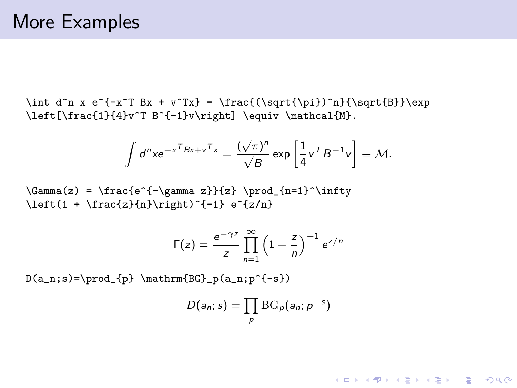\int d^n x e^{-x^T Bx + v^Tx} = \frac{(\sqrt{\pi})^n}{\sqrt{B}}\exp \left[\frac{1}{4}v^T B^{-1}v\right] \equiv \mathcal{M}.

$$
\int d^n x e^{-x^T B x + v^T x} = \frac{(\sqrt{\pi})^n}{\sqrt{B}} \exp\left[\frac{1}{4}v^T B^{-1} v\right] \equiv \mathcal{M}.
$$

 $\Gamma(z) = \frac{e^{-(\gamma z)}{z} \prod_{n=1}^{\infty}$  $\left(1 + \frac{z}{n}\right)^{-1} e^{z/n}$ 

$$
\Gamma(z) = \frac{e^{-\gamma z}}{z} \prod_{n=1}^{\infty} \left(1 + \frac{z}{n}\right)^{-1} e^{z/n}
$$

 $D(a_n; s) = \prod_{p} \mathrm{BG}_{p}(a_n; p^{-s})$ 

$$
D(a_n; s) = \prod_p {\rm BG}_p(a_n; p^{-s})
$$

**KORK ERKER ADAM ADA**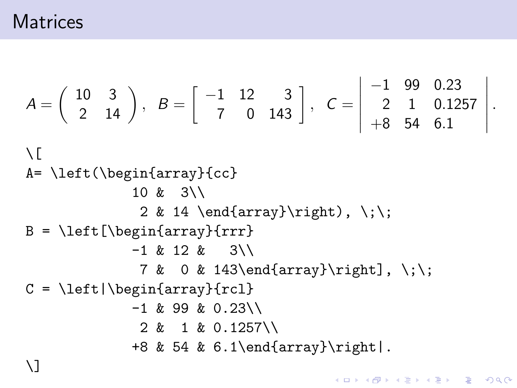$$
A = \begin{pmatrix} 10 & 3 \\ 2 & 14 \end{pmatrix}, B = \begin{bmatrix} -1 & 12 & 3 \\ 7 & 0 & 143 \end{bmatrix}, C = \begin{bmatrix} -1 & 99 & 0.23 \\ 2 & 1 & 0.1257 \\ +8 & 54 & 6.1 \end{bmatrix}.
$$
  
\n
$$
\setminus
$$
  
\n
$$
A = \left\{ \left( \begin{bmatrix} 10 & 3 \\ 2 & 14 \end{bmatrix} \right) \right\}
$$
  
\n
$$
B = \left\{ \left[ \begin{bmatrix} 2 & 3 \\ 2 & 14 \end{bmatrix} \right\} \right\}
$$
  
\n
$$
B = \left\{ \left[ \begin{bmatrix} 2 & 3 \\ 2 & 3 \end{bmatrix} \right\}
$$
  
\n
$$
B = \left\{ \left[ \begin{bmatrix} 2 & 3 \\ 2 & 3 \end{bmatrix} \right\}
$$
  
\n
$$
B = \left\{ \left[ \begin{bmatrix} 2 & 3 \\ 2 & 3 \end{bmatrix} \right\} \right\}
$$
  
\n
$$
B = \left\{ \left[ \begin{bmatrix} 2 & 3 \\ 2 & 3 \end{bmatrix} \right\}
$$
  
\n
$$
B = \left\{ \left[ \begin{bmatrix} 2 & 3 \\ 2 & 14 \end{bmatrix} \right\} \right\}
$$
  
\n
$$
B = \left\{ \left[ \begin{bmatrix} 2 & 3 \\ 2 & 14 \end{bmatrix} \right\}
$$
  
\n
$$
B = \left\{ \left[ \begin{bmatrix} 2 & 3 \\ 2 & 14 \end{bmatrix} \right\} \right\}
$$
  
\n
$$
B = \left\{ \left[ \begin{bmatrix} 2 & 3 \\ 2 & 14 \end{bmatrix} \right\}
$$
  
\n
$$
B = \left\{ \left[ \begin{bmatrix} 2 & 3 \\ 2 & 14 \end{bmatrix} \right\} \right\}
$$
  
\n
$$
B = \left\{ \left[ \begin{bmatrix} 2 & 3 \\ 2 & 14 \end{bmatrix} \right\}
$$
  
\n
$$
B = \left\{ \left[ \begin{bmatrix} 2 & 3 \\ 2 &
$$

KOKK@KKEKKEK E 1990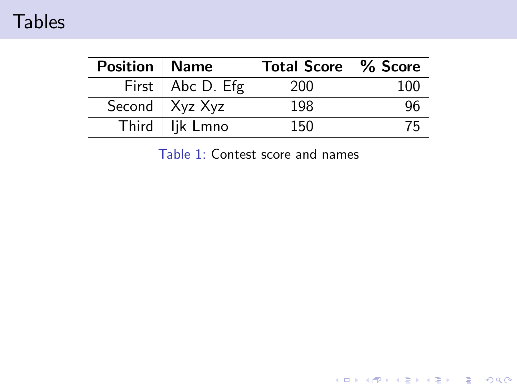### <span id="page-19-0"></span>**Tables**

<span id="page-19-1"></span>

| Position   Name |                          | <b>Total Score</b> % Score |  |
|-----------------|--------------------------|----------------------------|--|
|                 | First $\vert$ Abc D. Efg | 200                        |  |
|                 | Second $\vert$ Xyz Xyz   | 198                        |  |
|                 | Third   lik Lmno         | 150                        |  |

Table 1: Contest score and names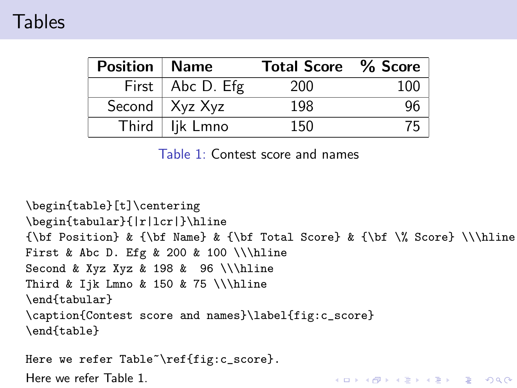| <b>Position   Name</b> |                          | <b>Total Score</b> % Score |     |
|------------------------|--------------------------|----------------------------|-----|
|                        | First $\vert$ Abc D. Efg | 200                        | 100 |
|                        | Second $\vert$ Xyz Xyz   | 198                        |     |
|                        | Third   lik Lmno         | 150                        |     |

Table 1: Contest score and names

\begin{table}[t]\centering \begin{tabular}{|r|lcr|}\hline {\bf Position} & {\bf Name} & {\bf Total Score} & {\bf \% Score} \\\hline First & Abc D. Efg & 200 & 100 \\\hline Second & Xyz Xyz & 198 & 96 \\\hline Third & Ijk Lmno & 150 & 75 \\\hline \end{tabular} \caption{Contest score and names}\label{fig:c\_score} \end{table}

**KORK ERKER ADAM ADA** 

Here we refer Table<sup>~</sup>\ref{fig:c\_score}. Here we refer Table [1.](#page-19-1)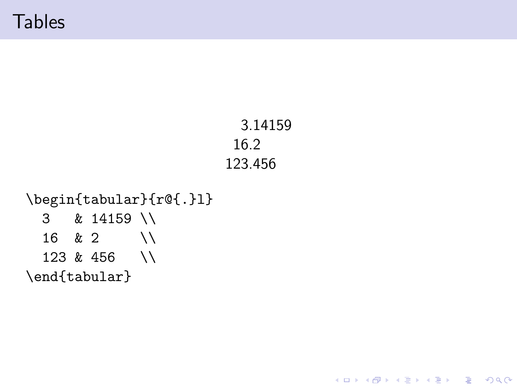**Tables** 

```
3.14159
16.2
123.456
```
K ロ ▶ K 個 ▶ K 할 ▶ K 할 ▶ 이 할 → 9 Q Q →

```
\begin{tabular}{r@{.}l}
  3 & 14159 \\
  16 \& 2 \qquad \setminus123 & 456 \\
\end{tabular}
```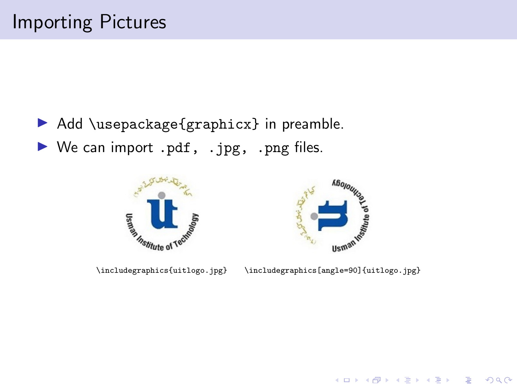- <span id="page-22-0"></span> $\blacktriangleright$  Add \usepackage{graphicx} in preamble.
- $\triangleright$  We can import .pdf, .jpg, .png files.





\includegraphics{uitlogo.jpg} \includegraphics[angle=90]{uitlogo.jpg}